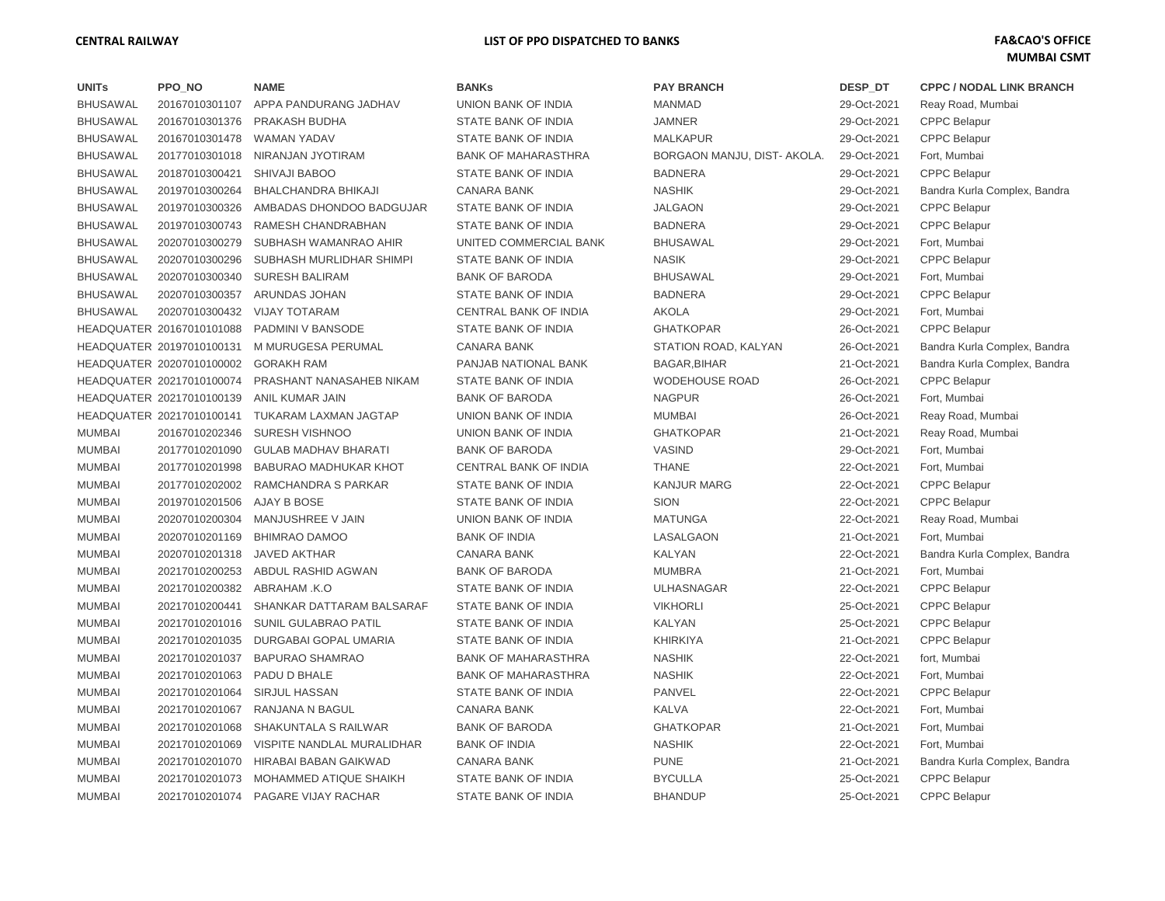## **CENTRAL RAILWAY LIST OF PPO DISPATCHED TO BANKS FA&CAO'S OFFICE**

| <b>UNITs</b>    | <b>PPO_NO</b>             | NAME                               | <b>BANKs</b>                 | <b>PAY BRANCH</b>           | DESP_DT     | <b>CPPC / NODAL LINK BRANCH</b> |
|-----------------|---------------------------|------------------------------------|------------------------------|-----------------------------|-------------|---------------------------------|
| <b>BHUSAWAL</b> | 20167010301107            | APPA PANDURANG JADHAV              | UNION BANK OF INDIA          | <b>MANMAD</b>               | 29-Oct-2021 | Reay Road, Mumbai               |
| <b>BHUSAWAL</b> | 20167010301376            | PRAKASH BUDHA                      | STATE BANK OF INDIA          | <b>JAMNER</b>               | 29-Oct-2021 | <b>CPPC Belapur</b>             |
| <b>BHUSAWAL</b> | 20167010301478            | <b>WAMAN YADAV</b>                 | STATE BANK OF INDIA          | <b>MALKAPUR</b>             | 29-Oct-2021 | <b>CPPC Belapur</b>             |
| <b>BHUSAWAL</b> | 20177010301018            | NIRANJAN JYOTIRAM                  | <b>BANK OF MAHARASTHRA</b>   | BORGAON MANJU, DIST- AKOLA. | 29-Oct-2021 | Fort, Mumbai                    |
| <b>BHUSAWAL</b> | 20187010300421            | SHIVAJI BABOO                      | <b>STATE BANK OF INDIA</b>   | <b>BADNERA</b>              | 29-Oct-2021 | <b>CPPC Belapur</b>             |
| <b>BHUSAWAL</b> | 20197010300264            | BHALCHANDRA BHIKAJI                | <b>CANARA BANK</b>           | <b>NASHIK</b>               | 29-Oct-2021 | Bandra Kurla Complex, Bandra    |
| <b>BHUSAWAL</b> | 20197010300326            | AMBADAS DHONDOO BADGUJAR           | STATE BANK OF INDIA          | <b>JALGAON</b>              | 29-Oct-2021 | <b>CPPC Belapur</b>             |
| <b>BHUSAWAL</b> | 20197010300743            | RAMESH CHANDRABHAN                 | <b>STATE BANK OF INDIA</b>   | <b>BADNERA</b>              | 29-Oct-2021 | <b>CPPC Belapur</b>             |
| <b>BHUSAWAL</b> | 20207010300279            | SUBHASH WAMANRAO AHIR              | UNITED COMMERCIAL BANK       | <b>BHUSAWAL</b>             | 29-Oct-2021 | Fort, Mumbai                    |
| <b>BHUSAWAL</b> | 20207010300296            | SUBHASH MURLIDHAR SHIMPI           | STATE BANK OF INDIA          | <b>NASIK</b>                | 29-Oct-2021 | <b>CPPC Belapur</b>             |
| <b>BHUSAWAL</b> | 20207010300340            | <b>SURESH BALIRAM</b>              | <b>BANK OF BARODA</b>        | <b>BHUSAWAL</b>             | 29-Oct-2021 | Fort, Mumbai                    |
| <b>BHUSAWAL</b> | 20207010300357            | ARUNDAS JOHAN                      | STATE BANK OF INDIA          | <b>BADNERA</b>              | 29-Oct-2021 | <b>CPPC Belapur</b>             |
| <b>BHUSAWAL</b> | 20207010300432            | <b>VIJAY TOTARAM</b>               | CENTRAL BANK OF INDIA        | <b>AKOLA</b>                | 29-Oct-2021 | Fort, Mumbai                    |
|                 | HEADQUATER 20167010101088 | PADMINI V BANSODE                  | <b>STATE BANK OF INDIA</b>   | <b>GHATKOPAR</b>            | 26-Oct-2021 | <b>CPPC Belapur</b>             |
|                 | HEADQUATER 20197010100131 | M MURUGESA PERUMAL                 | <b>CANARA BANK</b>           | STATION ROAD, KALYAN        | 26-Oct-2021 | Bandra Kurla Complex, Bandra    |
|                 | HEADQUATER 20207010100002 | <b>GORAKH RAM</b>                  | PANJAB NATIONAL BANK         | BAGAR, BIHAR                | 21-Oct-2021 | Bandra Kurla Complex, Bandra    |
|                 | HEADQUATER 20217010100074 | PRASHANT NANASAHEB NIKAM           | STATE BANK OF INDIA          | <b>WODEHOUSE ROAD</b>       | 26-Oct-2021 | <b>CPPC Belapur</b>             |
|                 | HEADQUATER 20217010100139 | ANIL KUMAR JAIN                    | <b>BANK OF BARODA</b>        | <b>NAGPUR</b>               | 26-Oct-2021 | Fort, Mumbai                    |
|                 | HEADQUATER 20217010100141 | <b>TUKARAM LAXMAN JAGTAP</b>       | UNION BANK OF INDIA          | <b>MUMBAI</b>               | 26-Oct-2021 | Reay Road, Mumbai               |
| <b>MUMBAI</b>   | 20167010202346            | SURESH VISHNOO                     | UNION BANK OF INDIA          | <b>GHATKOPAR</b>            | 21-Oct-2021 | Reay Road, Mumbai               |
| <b>MUMBAI</b>   | 20177010201090            | <b>GULAB MADHAV BHARATI</b>        | <b>BANK OF BARODA</b>        | <b>VASIND</b>               | 29-Oct-2021 | Fort, Mumbai                    |
| <b>MUMBAI</b>   | 20177010201998            | BABURAO MADHUKAR KHOT              | <b>CENTRAL BANK OF INDIA</b> | <b>THANE</b>                | 22-Oct-2021 | Fort, Mumbai                    |
| <b>MUMBAI</b>   | 20177010202002            | RAMCHANDRA S PARKAR                | <b>STATE BANK OF INDIA</b>   | <b>KANJUR MARG</b>          | 22-Oct-2021 | <b>CPPC Belapur</b>             |
| <b>MUMBAI</b>   | 20197010201506            | AJAY B BOSE                        | STATE BANK OF INDIA          | <b>SION</b>                 | 22-Oct-2021 | <b>CPPC Belapur</b>             |
| <b>MUMBAI</b>   | 20207010200304            | MANJUSHREE V JAIN                  | UNION BANK OF INDIA          | <b>MATUNGA</b>              | 22-Oct-2021 | Reay Road, Mumbai               |
| <b>MUMBAI</b>   | 20207010201169            | <b>BHIMRAO DAMOO</b>               | <b>BANK OF INDIA</b>         | LASALGAON                   | 21-Oct-2021 | Fort, Mumbai                    |
| <b>MUMBAI</b>   | 20207010201318            | <b>JAVED AKTHAR</b>                | <b>CANARA BANK</b>           | <b>KALYAN</b>               | 22-Oct-2021 | Bandra Kurla Complex, Bandra    |
| <b>MUMBAI</b>   | 20217010200253            | ABDUL RASHID AGWAN                 | <b>BANK OF BARODA</b>        | <b>MUMBRA</b>               | 21-Oct-2021 | Fort, Mumbai                    |
| <b>MUMBAI</b>   | 20217010200382            | ABRAHAM .K.O                       | STATE BANK OF INDIA          | <b>ULHASNAGAR</b>           | 22-Oct-2021 | <b>CPPC Belapur</b>             |
| <b>MUMBAI</b>   | 20217010200441            | SHANKAR DATTARAM BALSARAF          | STATE BANK OF INDIA          | <b>VIKHORLI</b>             | 25-Oct-2021 | <b>CPPC Belapur</b>             |
| <b>MUMBAI</b>   | 20217010201016            | <b>SUNIL GULABRAO PATIL</b>        | STATE BANK OF INDIA          | <b>KALYAN</b>               | 25-Oct-2021 | <b>CPPC Belapur</b>             |
| <b>MUMBAI</b>   | 20217010201035            | DURGABAI GOPAL UMARIA              | <b>STATE BANK OF INDIA</b>   | <b>KHIRKIYA</b>             | 21-Oct-2021 | <b>CPPC Belapur</b>             |
| <b>MUMBAI</b>   | 20217010201037            | <b>BAPURAO SHAMRAO</b>             | <b>BANK OF MAHARASTHRA</b>   | <b>NASHIK</b>               | 22-Oct-2021 | fort, Mumbai                    |
| <b>MUMBAI</b>   | 20217010201063            | PADU D BHALE                       | <b>BANK OF MAHARASTHRA</b>   | <b>NASHIK</b>               | 22-Oct-2021 | Fort, Mumbai                    |
| <b>MUMBAI</b>   | 20217010201064            | <b>SIRJUL HASSAN</b>               | <b>STATE BANK OF INDIA</b>   | <b>PANVEL</b>               | 22-Oct-2021 | <b>CPPC Belapur</b>             |
| <b>MUMBAI</b>   | 20217010201067            | RANJANA N BAGUL                    | <b>CANARA BANK</b>           | <b>KALVA</b>                | 22-Oct-2021 | Fort, Mumbai                    |
| <b>MUMBAI</b>   | 20217010201068            | SHAKUNTALA S RAILWAR               | <b>BANK OF BARODA</b>        | <b>GHATKOPAR</b>            | 21-Oct-2021 | Fort, Mumbai                    |
| <b>MUMBAI</b>   | 20217010201069            | VISPITE NANDLAL MURALIDHAR         | <b>BANK OF INDIA</b>         | <b>NASHIK</b>               | 22-Oct-2021 | Fort, Mumbai                    |
| <b>MUMBAI</b>   | 20217010201070            | HIRABAI BABAN GAIKWAD              | <b>CANARA BANK</b>           | <b>PUNE</b>                 | 21-Oct-2021 | Bandra Kurla Complex, Bandra    |
| <b>MUMBAI</b>   | 20217010201073            | MOHAMMED ATIQUE SHAIKH             | STATE BANK OF INDIA          | <b>BYCULLA</b>              | 25-Oct-2021 | <b>CPPC Belapur</b>             |
| <b>MUMBAI</b>   |                           | 20217010201074 PAGARE VIJAY RACHAR | <b>STATE BANK OF INDIA</b>   | <b>BHANDUP</b>              | 25-Oct-2021 | <b>CPPC Belapur</b>             |

| ANKs                  |
|-----------------------|
| NION BANK OF INDIA    |
| TATE BANK OF INDIA    |
| TATE BANK OF INDIA    |
| ANK OF MAHARASTHRA    |
| TATE BANK OF INDIA    |
| ANARA BANK            |
| TATE BANK OF INDIA    |
| TATE BANK OF INDIA    |
| NITED COMMERCIAL BANK |
| TATE BANK OF INDIA    |
| ANK OF BARODA         |
| TATE BANK OF INDIA    |
| ENTRAL BANK OF INDIA  |
| TATE BANK OF INDIA    |
| ANARA BANK            |
| ANJAB NATIONAL BANK   |
| TATE BANK OF INDIA    |
| ANK OF BARODA         |
| NION BANK OF INDIA    |
| NION BANK OF INDIA    |
| ANK OF BARODA         |
| ENTRAL BANK OF INDIA  |
| TATE BANK OF INDIA    |
| TATE BANK OF INDIA    |
| NION BANK OF INDIA    |
| ANK OF INDIA          |
| ANARA BANK            |
| ANK OF BARODA         |
| TATE BANK OF INDIA    |
| TATE BANK OF INDIA    |
| TATE BANK OF INDIA    |
| TATE BANK OF INDIA    |
| ANK OF MAHARASTHRA    |
| ANK OF MAHARASTHRA    |
| TATE BANK OF INDIA    |
| ANARA BANK            |
| ANK OF BARODA         |
| ANK OF INDIA          |
| ANARA BANK            |
| TATE BANK OF INDIA    |
| TATE BANK OF INDIA    |

| <b>PAY BRANCH</b>           |
|-----------------------------|
| MANMAD                      |
| JAMNER                      |
| <b>MALKAPUR</b>             |
| <b>BORGAON MANJU, DIST-</b> |
| <b>BADNERA</b>              |
| VASHIK                      |
| <b>JALGAON</b>              |
| 3ADNERA                     |
| <b>BHUSAWAL</b>             |
| √ASIK                       |
| 3HUSAWAL                    |
| 3ADNERA                     |
| <b>\KOLA</b>                |
| <b>GHATKOPAR</b>            |
| STATION ROAD, KALYAN        |
| 3AGAR,BIHAR                 |
| <b>NODEHOUSE ROAD</b>       |
| <b>VAGPUR</b>               |
| MUMBAI                      |
| <b>GHATKOPAR</b>            |
| /ASIND                      |
| <b>THANE</b>                |
| <b>KANJUR MARG</b>          |
| <b>SION</b>                 |
| MATUNGA                     |
| <b>ASALGAON</b>             |
| <b><i>SALYAN</i></b>        |
| <b>MUMBRA</b>               |
| JLHASNAGAR                  |
| /ikhorli                    |
| <b><i>KALYAN</i></b>        |
| KHIRKIYA                    |
| VASHIK                      |
| VASHIK                      |
| <b>PANVEL</b>               |
| <b><i>SALVA</i></b>         |
| GHATKOPAR                   |
| VASHIK                      |
| PUNE                        |
| 3YCULLA                     |
| <b>BHANDUP</b>              |

| DESP_DT     | <b>CPPC / NODAL LINK BRANC</b> |
|-------------|--------------------------------|
| 29-Oct-2021 | Reay Road, Mumbai              |
| 29-Oct-2021 | <b>CPPC Belapur</b>            |
| 29-Oct-2021 | <b>CPPC Belapur</b>            |
| 29-Oct-2021 | Fort, Mumbai                   |
| 29-Oct-2021 | <b>CPPC Belapur</b>            |
| 29-Oct-2021 | Bandra Kurla Complex, Bandra   |
| 29-Oct-2021 | <b>CPPC Belapur</b>            |
| 29-Oct-2021 | <b>CPPC Belapur</b>            |
| 29-Oct-2021 | Fort, Mumbai                   |
| 29-Oct-2021 | <b>CPPC Belapur</b>            |
| 29-Oct-2021 | Fort, Mumbai                   |
| 29-Oct-2021 | <b>CPPC Belapur</b>            |
| 29-Oct-2021 | Fort, Mumbai                   |
| 26-Oct-2021 | <b>CPPC Belapur</b>            |
| 26-Oct-2021 | Bandra Kurla Complex, Bandra   |
| 21-Oct-2021 | Bandra Kurla Complex, Bandra   |
| 26-Oct-2021 | <b>CPPC Belapur</b>            |
| 26-Oct-2021 | Fort, Mumbai                   |
| 26-Oct-2021 | Reay Road, Mumbai              |
| 21-Oct-2021 | Reay Road, Mumbai              |
| 29-Oct-2021 | Fort, Mumbai                   |
| 22-Oct-2021 | Fort, Mumbai                   |
| 22-Oct-2021 | <b>CPPC Belapur</b>            |
| 22-Oct-2021 | <b>CPPC Belapur</b>            |
| 22-Oct-2021 | Reay Road, Mumbai              |
| 21-Oct-2021 | Fort, Mumbai                   |
| 22-Oct-2021 | Bandra Kurla Complex, Bandra   |
| 21-Oct-2021 | Fort, Mumbai                   |
| 22-Oct-2021 | <b>CPPC Belapur</b>            |
| 25-Oct-2021 | <b>CPPC Belapur</b>            |
| 25-Oct-2021 | <b>CPPC Belapur</b>            |
| 21-Oct-2021 | <b>CPPC Belapur</b>            |
| 22-Oct-2021 | fort, Mumbai                   |
| 22-Oct-2021 | Fort, Mumbai                   |
| 22-Oct-2021 | <b>CPPC Belapur</b>            |
| 22-Oct-2021 | Fort, Mumbai                   |
| 21-Oct-2021 | Fort, Mumbai                   |
| 22-Oct-2021 | Fort, Mumbai                   |
| 21-Oct-2021 | Bandra Kurla Complex, Bandra   |
| 25-Oct-2021 | <b>CPPC Belapur</b>            |
| 25-Oct-2021 | <b>CPPC Belapur</b>            |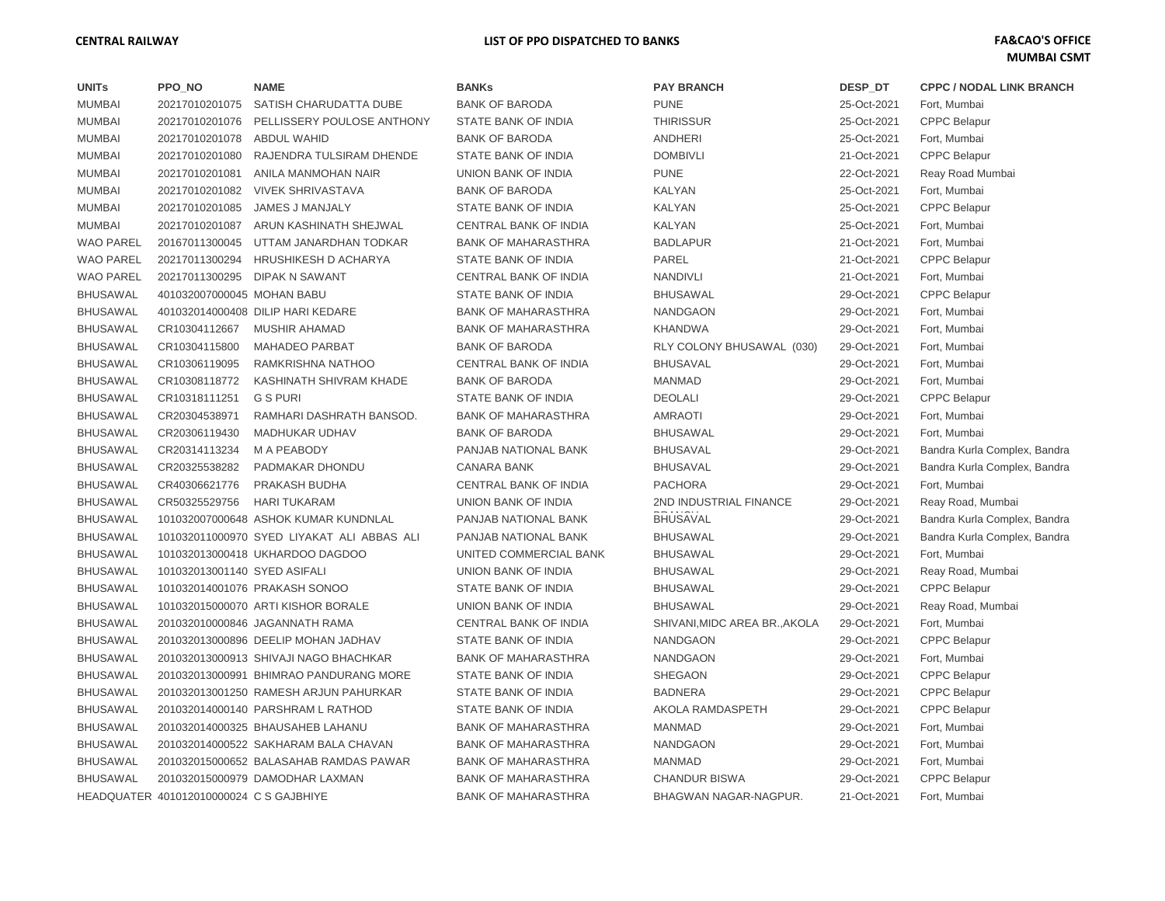## **CENTRAL RAILWAY LIST OF PPO DISPATCHED TO BANKS FA&CAO'S OFFICE**

| <b>UNITs</b>     | PPO_NO                                  | <b>NAME</b>                                | <b>BANKs</b>                 | <b>PAY BRANCH</b>             | DESP_DT     | <b>CPPC / NODAL LINK BRANCH</b> |
|------------------|-----------------------------------------|--------------------------------------------|------------------------------|-------------------------------|-------------|---------------------------------|
| <b>MUMBAI</b>    | 20217010201075                          | SATISH CHARUDATTA DUBE                     | <b>BANK OF BARODA</b>        | <b>PUNE</b>                   | 25-Oct-2021 | Fort, Mumbai                    |
| <b>MUMBAI</b>    | 20217010201076                          | PELLISSERY POULOSE ANTHONY                 | STATE BANK OF INDIA          | <b>THIRISSUR</b>              | 25-Oct-2021 | <b>CPPC Belapur</b>             |
| <b>MUMBAI</b>    | 20217010201078                          | <b>ABDUL WAHID</b>                         | <b>BANK OF BARODA</b>        | <b>ANDHERI</b>                | 25-Oct-2021 | Fort, Mumbai                    |
| <b>MUMBAI</b>    | 20217010201080                          | RAJENDRA TULSIRAM DHENDE                   | STATE BANK OF INDIA          | <b>DOMBIVLI</b>               | 21-Oct-2021 | <b>CPPC Belapur</b>             |
| <b>MUMBAI</b>    | 20217010201081                          | ANILA MANMOHAN NAIR                        | UNION BANK OF INDIA          | <b>PUNE</b>                   | 22-Oct-2021 | Reay Road Mumbai                |
| <b>MUMBAI</b>    | 20217010201082                          | <b>VIVEK SHRIVASTAVA</b>                   | <b>BANK OF BARODA</b>        | <b>KALYAN</b>                 | 25-Oct-2021 | Fort, Mumbai                    |
| <b>MUMBAI</b>    | 20217010201085                          | JAMES J MANJALY                            | STATE BANK OF INDIA          | <b>KALYAN</b>                 | 25-Oct-2021 | <b>CPPC Belapur</b>             |
| <b>MUMBAI</b>    | 20217010201087                          | ARUN KASHINATH SHEJWAL                     | <b>CENTRAL BANK OF INDIA</b> | <b>KALYAN</b>                 | 25-Oct-2021 | Fort, Mumbai                    |
| <b>WAO PAREL</b> | 20167011300045                          | UTTAM JANARDHAN TODKAR                     | <b>BANK OF MAHARASTHRA</b>   | <b>BADLAPUR</b>               | 21-Oct-2021 | Fort, Mumbai                    |
| <b>WAO PAREL</b> | 20217011300294                          | <b>HRUSHIKESH D ACHARYA</b>                | STATE BANK OF INDIA          | <b>PAREL</b>                  | 21-Oct-2021 | <b>CPPC Belapur</b>             |
| <b>WAO PAREL</b> | 20217011300295                          | <b>DIPAK N SAWANT</b>                      | CENTRAL BANK OF INDIA        | <b>NANDIVLI</b>               | 21-Oct-2021 | Fort, Mumbai                    |
| <b>BHUSAWAL</b>  | 401032007000045 MOHAN BABU              |                                            | STATE BANK OF INDIA          | <b>BHUSAWAL</b>               | 29-Oct-2021 | <b>CPPC Belapur</b>             |
| <b>BHUSAWAL</b>  |                                         | 401032014000408 DILIP HARI KEDARE          | <b>BANK OF MAHARASTHRA</b>   | <b>NANDGAON</b>               | 29-Oct-2021 | Fort, Mumbai                    |
| <b>BHUSAWAL</b>  | CR10304112667                           | <b>MUSHIR AHAMAD</b>                       | <b>BANK OF MAHARASTHRA</b>   | <b>KHANDWA</b>                | 29-Oct-2021 | Fort, Mumbai                    |
| <b>BHUSAWAL</b>  | CR10304115800                           | <b>MAHADEO PARBAT</b>                      | <b>BANK OF BARODA</b>        | RLY COLONY BHUSAWAL (030)     | 29-Oct-2021 | Fort, Mumbai                    |
| <b>BHUSAWAL</b>  | CR10306119095                           | RAMKRISHNA NATHOO                          | CENTRAL BANK OF INDIA        | <b>BHUSAVAL</b>               | 29-Oct-2021 | Fort, Mumbai                    |
| <b>BHUSAWAL</b>  | CR10308118772                           | KASHINATH SHIVRAM KHADE                    | <b>BANK OF BARODA</b>        | <b>MANMAD</b>                 | 29-Oct-2021 | Fort, Mumbai                    |
| <b>BHUSAWAL</b>  | CR10318111251                           | <b>G S PURI</b>                            | STATE BANK OF INDIA          | <b>DEOLALI</b>                | 29-Oct-2021 | <b>CPPC Belapur</b>             |
| <b>BHUSAWAL</b>  | CR20304538971                           | RAMHARI DASHRATH BANSOD.                   | <b>BANK OF MAHARASTHRA</b>   | AMRAOTI                       | 29-Oct-2021 | Fort, Mumbai                    |
| <b>BHUSAWAL</b>  | CR20306119430                           | <b>MADHUKAR UDHAV</b>                      | <b>BANK OF BARODA</b>        | <b>BHUSAWAL</b>               | 29-Oct-2021 | Fort, Mumbai                    |
| <b>BHUSAWAL</b>  | CR20314113234                           | M A PEABODY                                | PANJAB NATIONAL BANK         | <b>BHUSAVAL</b>               | 29-Oct-2021 | Bandra Kurla Complex, Bandra    |
| <b>BHUSAWAL</b>  | CR20325538282                           | PADMAKAR DHONDU                            | <b>CANARA BANK</b>           | <b>BHUSAVAL</b>               | 29-Oct-2021 | Bandra Kurla Complex, Bandra    |
| <b>BHUSAWAL</b>  | CR40306621776                           | PRAKASH BUDHA                              | CENTRAL BANK OF INDIA        | <b>PACHORA</b>                | 29-Oct-2021 | Fort, Mumbai                    |
| <b>BHUSAWAL</b>  | CR50325529756                           | <b>HARI TUKARAM</b>                        | UNION BANK OF INDIA          | 2ND INDUSTRIAL FINANCE        | 29-Oct-2021 | Reay Road, Mumbai               |
| <b>BHUSAWAL</b>  |                                         | 101032007000648 ASHOK KUMAR KUNDNLAL       | PANJAB NATIONAL BANK         | <b>BHUSAVAL</b>               | 29-Oct-2021 | Bandra Kurla Complex, Bandra    |
| <b>BHUSAWAL</b>  |                                         | 101032011000970 SYED LIYAKAT ALI ABBAS ALI | PANJAB NATIONAL BANK         | <b>BHUSAWAL</b>               | 29-Oct-2021 | Bandra Kurla Complex, Bandra    |
| <b>BHUSAWAL</b>  |                                         | 101032013000418 UKHARDOO DAGDOO            | UNITED COMMERCIAL BANK       | <b>BHUSAWAL</b>               | 29-Oct-2021 | Fort, Mumbai                    |
| <b>BHUSAWAL</b>  | 101032013001140 SYED ASIFALI            |                                            | UNION BANK OF INDIA          | <b>BHUSAWAL</b>               | 29-Oct-2021 | Reay Road, Mumbai               |
| <b>BHUSAWAL</b>  |                                         | 101032014001076 PRAKASH SONOO              | STATE BANK OF INDIA          | <b>BHUSAWAL</b>               | 29-Oct-2021 | <b>CPPC Belapur</b>             |
| <b>BHUSAWAL</b>  |                                         | 101032015000070 ARTI KISHOR BORALE         | UNION BANK OF INDIA          | <b>BHUSAWAL</b>               | 29-Oct-2021 | Reay Road, Mumbai               |
| <b>BHUSAWAL</b>  |                                         | 201032010000846 JAGANNATH RAMA             | CENTRAL BANK OF INDIA        | SHIVANI, MIDC AREA BR., AKOLA | 29-Oct-2021 | Fort, Mumbai                    |
| <b>BHUSAWAL</b>  |                                         | 201032013000896 DEELIP MOHAN JADHAV        | STATE BANK OF INDIA          | <b>NANDGAON</b>               | 29-Oct-2021 | <b>CPPC Belapur</b>             |
| <b>BHUSAWAL</b>  |                                         | 201032013000913 SHIVAJI NAGO BHACHKAR      | <b>BANK OF MAHARASTHRA</b>   | <b>NANDGAON</b>               | 29-Oct-2021 | Fort, Mumbai                    |
| <b>BHUSAWAL</b>  |                                         | 201032013000991 BHIMRAO PANDURANG MORE     | STATE BANK OF INDIA          | SHEGAON                       | 29-Oct-2021 | <b>CPPC Belapur</b>             |
| <b>BHUSAWAL</b>  |                                         | 201032013001250 RAMESH ARJUN PAHURKAR      | STATE BANK OF INDIA          | <b>BADNERA</b>                | 29-Oct-2021 | <b>CPPC Belapur</b>             |
| <b>BHUSAWAL</b>  |                                         | 201032014000140 PARSHRAM L RATHOD          | STATE BANK OF INDIA          | AKOLA RAMDASPETH              | 29-Oct-2021 | <b>CPPC Belapur</b>             |
| <b>BHUSAWAL</b>  |                                         | 201032014000325 BHAUSAHEB LAHANU           | <b>BANK OF MAHARASTHRA</b>   | <b>MANMAD</b>                 | 29-Oct-2021 | Fort, Mumbai                    |
| <b>BHUSAWAL</b>  |                                         | 201032014000522 SAKHARAM BALA CHAVAN       | <b>BANK OF MAHARASTHRA</b>   | <b>NANDGAON</b>               | 29-Oct-2021 | Fort, Mumbai                    |
| <b>BHUSAWAL</b>  |                                         | 201032015000652 BALASAHAB RAMDAS PAWAR     | <b>BANK OF MAHARASTHRA</b>   | MANMAD                        | 29-Oct-2021 | Fort, Mumbai                    |
| <b>BHUSAWAL</b>  |                                         | 201032015000979 DAMODHAR LAXMAN            | <b>BANK OF MAHARASTHRA</b>   | <b>CHANDUR BISWA</b>          | 29-Oct-2021 | <b>CPPC Belapur</b>             |
|                  | HEADQUATER 401012010000024 C S GAJBHIYE |                                            | <b>BANK OF MAHARASTHRA</b>   | BHAGWAN NAGAR-NAGPUR.         | 21-Oct-2021 | Fort, Mumbai                    |